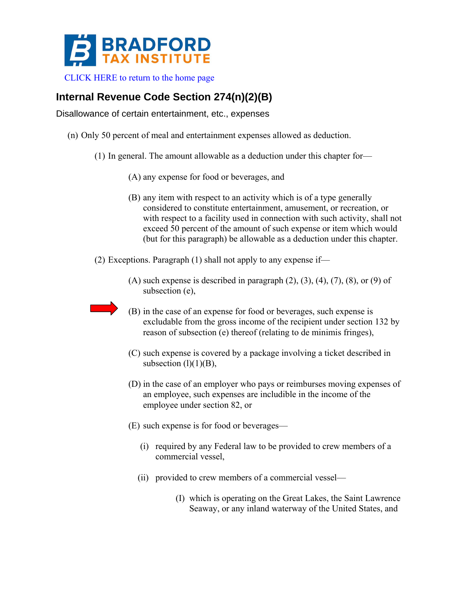

[CLICK HERE to return to the home page](http://www.bradfordtaxinstitute.com/) 

## **Internal Revenue Code Section 274(n)(2)(B)**

Disallowance of certain entertainment, etc., expenses

- (n) Only 50 percent of meal and entertainment expenses allowed as deduction.
	- (1) In general. The amount allowable as a deduction under this chapter for—
		- (A) any expense for food or beverages, and
		- (B) any item with respect to an activity which is of a type generally considered to constitute entertainment, amusement, or recreation, or with respect to a facility used in connection with such activity, shall not exceed 50 percent of the amount of such expense or item which would (but for this paragraph) be allowable as a deduction under this chapter.
	- (2) Exceptions. Paragraph (1) shall not apply to any expense if—
		- $(A)$  such expense is described in paragraph  $(2)$ ,  $(3)$ ,  $(4)$ ,  $(7)$ ,  $(8)$ , or  $(9)$  of subsection (e),
		- (B) in the case of an expense for food or beverages, such expense is excludable from the gross income of the recipient under section 132 by reason of subsection (e) thereof (relating to de minimis fringes),
		- (C) such expense is covered by a package involving a ticket described in subsection  $(l)(1)(B)$ ,
		- (D) in the case of an employer who pays or reimburses moving expenses of an employee, such expenses are includible in the income of the employee under section 82, or
		- (E) such expense is for food or beverages—
			- (i) required by any Federal law to be provided to crew members of a commercial vessel,
			- (ii) provided to crew members of a commercial vessel—
				- (I) which is operating on the Great Lakes, the Saint Lawrence Seaway, or any inland waterway of the United States, and